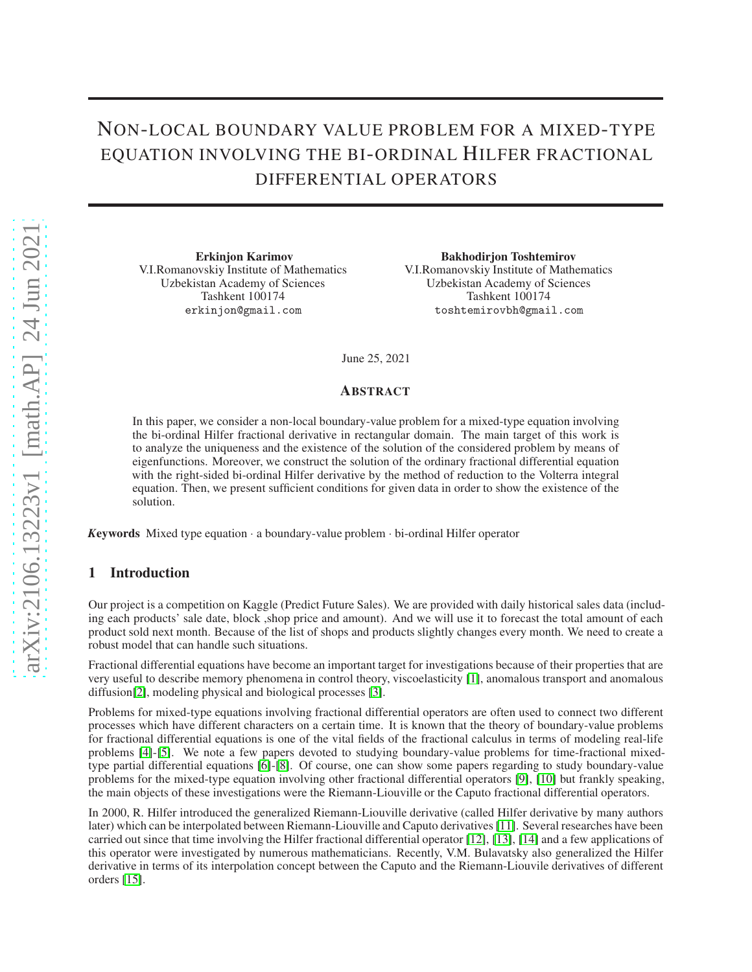# NON-LOCAL BOUNDARY VALUE PROBLEM FOR A MIXED-TYPE EQUATION INVOLVING THE BI-ORDINAL HILFER FRACTIONAL DIFFERENTIAL OPERATORS

Erkinjon Karimov V.I.Romanovskiy Institute of Mathematics Uzbekistan Academy of Sciences Tashkent 100174 erkinjon@gmail.com

Bakhodirjon Toshtemirov V.I.Romanovskiy Institute of Mathematics Uzbekistan Academy of Sciences Tashkent 100174 toshtemirovbh@gmail.com

June 25, 2021

### ABSTRACT

In this paper, we consider a non-local boundary-value problem for a mixed-type equation involving the bi-ordinal Hilfer fractional derivative in rectangular domain. The main target of this work is to analyze the uniqueness and the existence of the solution of the considered problem by means of eigenfunctions. Moreover, we construct the solution of the ordinary fractional differential equation with the right-sided bi-ordinal Hilfer derivative by the method of reduction to the Volterra integral equation. Then, we present sufficient conditions for given data in order to show the existence of the solution.

*<sup>K</sup>*eywords Mixed type equation · a boundary-value problem · bi-ordinal Hilfer operator

# 1 Introduction

Our project is a competition on Kaggle (Predict Future Sales). We are provided with daily historical sales data (including each products' sale date, block ,shop price and amount). And we will use it to forecast the total amount of each product sold next month. Because of the list of shops and products slightly changes every month. We need to create a robust model that can handle such situations.

Fractional differential equations have become an important target for investigations because of their properties that are very useful to describe memory phenomena in control theory, viscoelasticity [\[1\]](#page-11-0), anomalous transport and anomalous diffusion[\[2\]](#page-11-1), modeling physical and biological processes [\[3\]](#page-11-2).

Problems for mixed-type equations involving fractional differential operators are often used to connect two different processes which have different characters on a certain time. It is known that the theory of boundary-value problems for fractional differential equations is one of the vital fields of the fractional calculus in terms of modeling real-life problems [\[4\]](#page-11-3)-[\[5\]](#page-11-4). We note a few papers devoted to studying boundary-value problems for time-fractional mixedtype partial differential equations [\[6\]](#page-11-5)-[\[8\]](#page-11-6). Of course, one can show some papers regarding to study boundary-value problems for the mixed-type equation involving other fractional differential operators [\[9\]](#page-11-7), [\[10\]](#page-11-8) but frankly speaking, the main objects of these investigations were the Riemann-Liouville or the Caputo fractional differential operators.

In 2000, R. Hilfer introduced the generalized Riemann-Liouville derivative (called Hilfer derivative by many authors later) which can be interpolated between Riemann-Liouville and Caputo derivatives [\[11\]](#page-11-9). Several researches have been carried out since that time involving the Hilfer fractional differential operator [\[12\]](#page-12-0), [\[13\]](#page-12-1), [\[14\]](#page-12-2) and a few applications of this operator were investigated by numerous mathematicians. Recently, V.M. Bulavatsky also generalized the Hilfer derivative in terms of its interpolation concept between the Caputo and the Riemann-Liouvile derivatives of different orders [\[15\]](#page-12-3).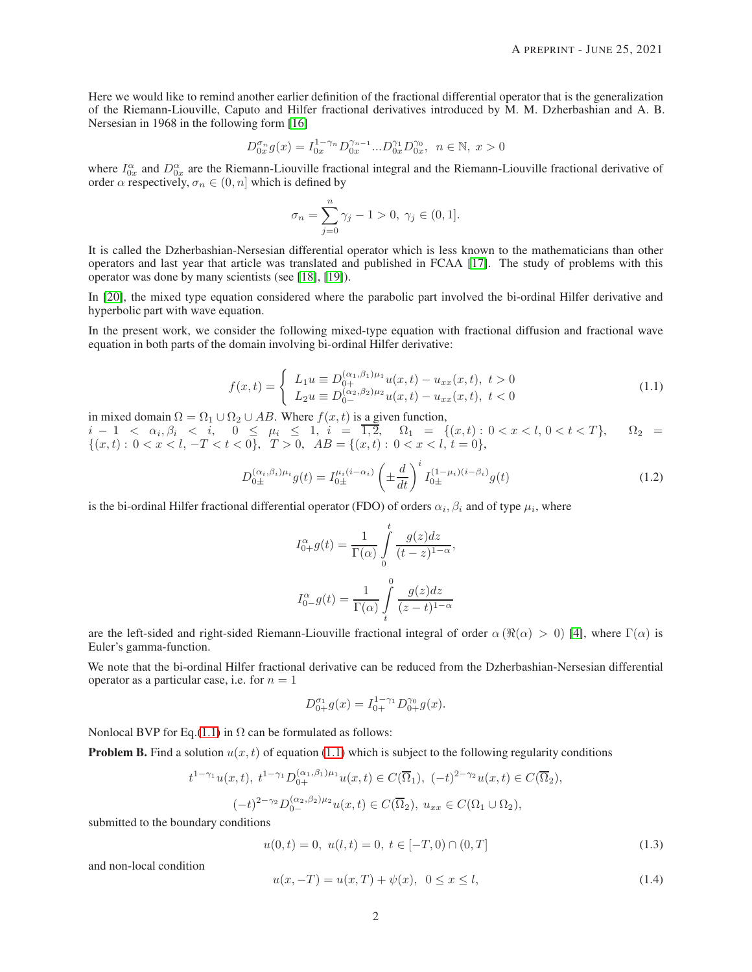Here we would like to remind another earlier definition of the fractional differential operator that is the generalization of the Riemann-Liouville, Caputo and Hilfer fractional derivatives introduced by M. M. Dzherbashian and A. B. Nersesian in 1968 in the following form [\[16\]](#page-12-4)

$$
D_{0x}^{\sigma_n}g(x) = I_{0x}^{1-\gamma_n}D_{0x}^{\gamma_{n-1}}...D_{0x}^{\gamma_1}D_{0x}^{\gamma_0}, \ \ n \in \mathbb{N}, \ x > 0
$$

where  $I_{0x}^{\alpha}$  and  $D_{0x}^{\alpha}$  are the Riemann-Liouville fractional integral and the Riemann-Liouville fractional derivative of order  $\alpha$  respectively,  $\sigma_n \in (0, n]$  which is defined by

$$
\sigma_n = \sum_{j=0}^n \gamma_j - 1 > 0, \ \gamma_j \in (0, 1].
$$

It is called the Dzherbashian-Nersesian differential operator which is less known to the mathematicians than other operators and last year that article was translated and published in FCAA [\[17\]](#page-12-5). The study of problems with this operator was done by many scientists (see [\[18\]](#page-12-6), [\[19\]](#page-12-7)).

In [\[20\]](#page-12-8), the mixed type equation considered where the parabolic part involved the bi-ordinal Hilfer derivative and hyperbolic part with wave equation.

<span id="page-1-0"></span>In the present work, we consider the following mixed-type equation with fractional diffusion and fractional wave equation in both parts of the domain involving bi-ordinal Hilfer derivative:

$$
f(x,t) = \begin{cases} L_1 u \equiv D_{0+}^{(\alpha_1,\beta_1)\mu_1} u(x,t) - u_{xx}(x,t), \ t > 0\\ L_2 u \equiv D_{0-}^{(\alpha_2,\beta_2)\mu_2} u(x,t) - u_{xx}(x,t), \ t < 0 \end{cases}
$$
(1.1)

in mixed domain  $\Omega = \Omega_1 \cup \Omega_2 \cup AB$ . Where  $f(x, t)$  is a given function,  $i-1 < \alpha_i, \beta_i < i, \quad 0 \leq \mu_i \leq 1, \quad i = \overline{1,2}, \quad \Omega_1 = \{(x,t): 0 < x < l, \quad 0 < t < T\}, \quad \Omega_2 = \{(\alpha_i, \alpha_i)\}$  $\{(x,t): 0 < x < l, -T < t < 0\}, T > 0, AB = \{(x,t): 0 < x < l, t = 0\},\$ 

$$
D_{0\pm}^{(\alpha_i,\beta_i)\mu_i}g(t) = I_{0\pm}^{\mu_i(i-\alpha_i)} \left(\pm \frac{d}{dt}\right)^i I_{0\pm}^{(1-\mu_i)(i-\beta_i)}g(t) \tag{1.2}
$$

is the bi-ordinal Hilfer fractional differential operator (FDO) of orders  $\alpha_i, \beta_i$  and of type  $\mu_i$ , where

<span id="page-1-1"></span>
$$
I_{0+}^{\alpha}g(t) = \frac{1}{\Gamma(\alpha)} \int_{0}^{t} \frac{g(z)dz}{(t-z)^{1-\alpha}},
$$
  

$$
I_{0-}^{\alpha}g(t) = \frac{1}{\Gamma(\alpha)} \int_{t}^{0} \frac{g(z)dz}{(z-t)^{1-\alpha}}
$$

are the left-sided and right-sided Riemann-Liouville fractional integral of order  $\alpha (\Re(\alpha) > 0)$  [\[4\]](#page-11-3), where  $\Gamma(\alpha)$  is Euler's gamma-function.

We note that the bi-ordinal Hilfer fractional derivative can be reduced from the Dzherbashian-Nersesian differential operator as a particular case, i.e. for  $n = 1$ 

$$
D_{0+}^{\sigma_1}g(x) = I_{0+}^{1-\gamma_1}D_{0+}^{\gamma_0}g(x).
$$

Nonlocal BVP for Eq.[\(1.1\)](#page-1-0) in  $\Omega$  can be formulated as follows:

**Problem B.** Find a solution  $u(x, t)$  of equation [\(1.1\)](#page-1-0) which is subject to the following regularity conditions

$$
t^{1-\gamma_1}u(x,t), \ t^{1-\gamma_1}D_{0+}^{(\alpha_1,\beta_1)\mu_1}u(x,t) \in C(\overline{\Omega}_1), \ (-t)^{2-\gamma_2}u(x,t) \in C(\overline{\Omega}_2),
$$
  

$$
(-t)^{2-\gamma_2}D_{0-}^{(\alpha_2,\beta_2)\mu_2}u(x,t) \in C(\overline{\Omega}_2), \ u_{xx} \in C(\Omega_1 \cup \Omega_2),
$$

submitted to the boundary conditions

<span id="page-1-3"></span><span id="page-1-2"></span>
$$
u(0,t) = 0, \ u(l,t) = 0, \ t \in [-T,0) \cap (0,T] \tag{1.3}
$$

and non-local condition

$$
u(x, -T) = u(x, T) + \psi(x), \ \ 0 \le x \le l,
$$
\n(1.4)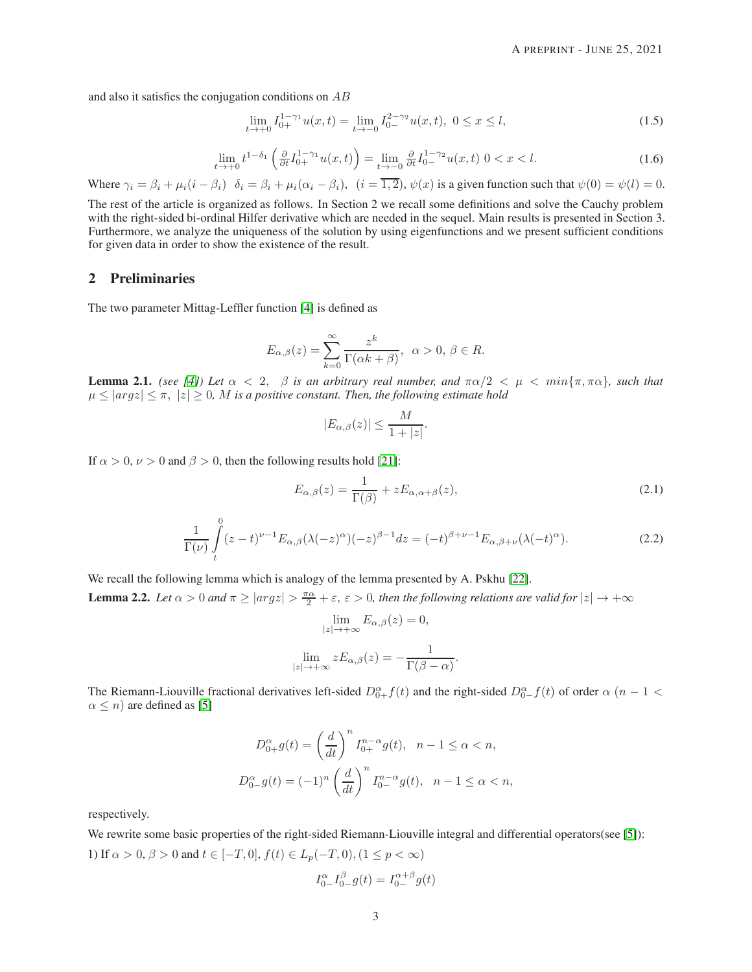and also it satisfies the conjugation conditions on  $AB$ 

<span id="page-2-3"></span>
$$
\lim_{t \to +0} I_{0+}^{1-\gamma_1} u(x,t) = \lim_{t \to -0} I_{0-}^{2-\gamma_2} u(x,t), \ 0 \le x \le l,
$$
\n(1.5)

$$
\lim_{t \to +0} t^{1-\delta_1} \left( \frac{\partial}{\partial t} I_{0+}^{1-\gamma_1} u(x,t) \right) = \lim_{t \to -0} \frac{\partial}{\partial t} I_{0-}^{1-\gamma_2} u(x,t) \quad 0 < x < l. \tag{1.6}
$$

<span id="page-2-2"></span>Where  $\gamma_i = \beta_i + \mu_i(i - \beta_i)$   $\delta_i = \beta_i + \mu_i(\alpha_i - \beta_i)$ ,  $(i = \overline{1, 2})$ ,  $\psi(x)$  is a given function such that  $\psi(0) = \psi(l) = 0$ .

The rest of the article is organized as follows. In Section 2 we recall some definitions and solve the Cauchy problem with the right-sided bi-ordinal Hilfer derivative which are needed in the sequel. Main results is presented in Section 3. Furthermore, we analyze the uniqueness of the solution by using eigenfunctions and we present sufficient conditions for given data in order to show the existence of the result.

# 2 Preliminaries

The two parameter Mittag-Leffler function [\[4\]](#page-11-3) is defined as

$$
E_{\alpha,\beta}(z) = \sum_{k=0}^{\infty} \frac{z^k}{\Gamma(\alpha k + \beta)}, \ \alpha > 0, \ \beta \in R.
$$

<span id="page-2-5"></span>**Lemma 2.1.** *(see [\[4\]](#page-11-3)) Let*  $\alpha < 2$ ,  $\beta$  *is an arbitrary real number, and*  $\pi\alpha/2 < \mu < \min{\pi, \pi\alpha}$ *, such that*  $\mu \leq |argz| \leq \pi$ ,  $|z| \geq 0$ , M is a positive constant. Then, the following estimate hold

<span id="page-2-0"></span>
$$
|E_{\alpha,\beta}(z)| \le \frac{M}{1+|z|}.
$$

<span id="page-2-1"></span>If  $\alpha > 0$ ,  $\nu > 0$  and  $\beta > 0$ , then the following results hold [\[21\]](#page-12-9):

$$
E_{\alpha,\beta}(z) = \frac{1}{\Gamma(\beta)} + zE_{\alpha,\alpha+\beta}(z),\tag{2.1}
$$

$$
\frac{1}{\Gamma(\nu)}\int\limits_t^0 (z-t)^{\nu-1}E_{\alpha,\beta}(\lambda(-z)^\alpha)(-z)^{\beta-1}dz = (-t)^{\beta+\nu-1}E_{\alpha,\beta+\nu}(\lambda(-t)^\alpha).
$$
\n(2.2)

<span id="page-2-4"></span>We recall the following lemma which is analogy of the lemma presented by A. Pskhu [\[22\]](#page-12-10). **Lemma 2.2.** Let  $\alpha > 0$  and  $\pi \geq |argz| > \frac{\pi \alpha}{2} + \varepsilon$ ,  $\varepsilon > 0$ , then the following relations are valid for  $|z| \to +\infty$ 

$$
\lim_{|z| \to +\infty} E_{\alpha,\beta}(z) = 0,
$$
  

$$
\lim_{|z| \to +\infty} z E_{\alpha,\beta}(z) = -\frac{1}{\Gamma(\beta - \alpha)}.
$$

The Riemann-Liouville fractional derivatives left-sided  $D_{0+}^{\alpha} f(t)$  and the right-sided  $D_{0-}^{\alpha} f(t)$  of order  $\alpha$  (n – 1 <  $\alpha \leq n$ ) are defined as [\[5\]](#page-11-4)

$$
D_{0+}^{\alpha}g(t) = \left(\frac{d}{dt}\right)^n I_{0+}^{n-\alpha}g(t), \quad n-1 \le \alpha < n,
$$
  

$$
D_{0-}^{\alpha}g(t) = (-1)^n \left(\frac{d}{dt}\right)^n I_{0-}^{n-\alpha}g(t), \quad n-1 \le \alpha < n,
$$

respectively.

We rewrite some basic properties of the right-sided Riemann-Liouville integral and differential operators(see [\[5\]](#page-11-4)): 1) If  $\alpha > 0$ ,  $\beta > 0$  and  $t \in [-T, 0]$ ,  $f(t) \in L_p(-T, 0)$ ,  $(1 \le p < \infty)$ 

$$
I_{0-}^{\alpha}I_{0-}^{\beta}g(t) = I_{0-}^{\alpha+\beta}g(t)
$$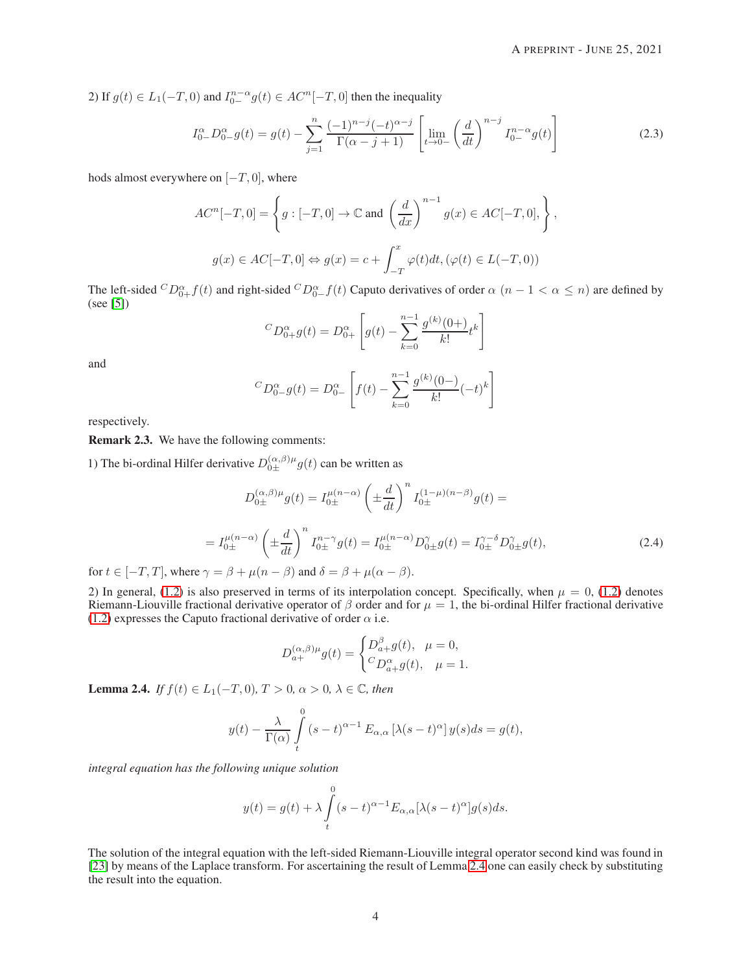2) If  $g(t) \in L_1(-T,0)$  and  $I_{0-}^{n-\alpha}g(t) \in AC^n[-T,0]$  then the inequality

<span id="page-3-2"></span>
$$
I_{0-}^{\alpha}D_{0-}^{\alpha}g(t) = g(t) - \sum_{j=1}^{n} \frac{(-1)^{n-j}(-t)^{\alpha-j}}{\Gamma(\alpha-j+1)} \left[ \lim_{t \to 0-} \left(\frac{d}{dt}\right)^{n-j} I_{0-}^{n-\alpha}g(t) \right]
$$
(2.3)

hods almost everywhere on  $[-T, 0]$ , where

$$
AC^{n}[-T,0] = \left\{ g : [-T,0] \to \mathbb{C} \text{ and } \left( \frac{d}{dx} \right)^{n-1} g(x) \in AC[-T,0], \right\},\
$$

$$
g(x) \in AC[-T,0] \Leftrightarrow g(x) = c + \int_{-T}^{x} \varphi(t)dt, (\varphi(t) \in L(-T,0))
$$

The left-sided  ${}^CD_{0+}^{\alpha}f(t)$  and right-sided  ${}^CD_{0-}^{\alpha}f(t)$  Caputo derivatives of order  $\alpha$   $(n-1 < \alpha \leq n)$  are defined by (see [\[5\]](#page-11-4))

$$
{}^{C}D_{0+}^{\alpha}g(t) = D_{0+}^{\alpha} \left[ g(t) - \sum_{k=0}^{n-1} \frac{g^{(k)}(0+)}{k!} t^k \right]
$$

and

$$
{}^{C}D_{0-}^{\alpha}g(t) = D_{0-}^{\alpha} \left[ f(t) - \sum_{k=0}^{n-1} \frac{g^{(k)}(0-)}{k!} (-t)^k \right]
$$

respectively.

Remark 2.3. We have the following comments:

1) The bi-ordinal Hilfer derivative  $D_{0\pm}^{(\alpha,\beta)\mu}g(t)$  can be written as

$$
D_{0\pm}^{(\alpha,\beta)\mu}g(t) = I_{0\pm}^{\mu(n-\alpha)} \left(\pm \frac{d}{dt}\right)^n I_{0\pm}^{(1-\mu)(n-\beta)}g(t) =
$$
  

$$
= I_{0\pm}^{\mu(n-\alpha)} \left(\pm \frac{d}{dt}\right)^n I_{0\pm}^{n-\gamma}g(t) = I_{0\pm}^{\mu(n-\alpha)} D_{0\pm}^{\gamma}g(t) = I_{0\pm}^{\gamma-\delta} D_{0\pm}^{\gamma}g(t), \tag{2.4}
$$

<span id="page-3-1"></span>for  $t \in [-T, T]$ , where  $\gamma = \beta + \mu(n - \beta)$  and  $\delta = \beta + \mu(\alpha - \beta)$ .

2) In general, [\(1.2\)](#page-1-1) is also preserved in terms of its interpolation concept. Specifically, when  $\mu = 0$ , (1.2) denotes Riemann-Liouville fractional derivative operator of  $\beta$  order and for  $\mu = 1$ , the bi-ordinal Hilfer fractional derivative [\(1.2\)](#page-1-1) expresses the Caputo fractional derivative of order  $\alpha$  i.e.

$$
D_{a+}^{(\alpha,\beta)\mu}g(t) = \begin{cases} D_{a+}^{\beta}g(t), & \mu = 0, \\ C_{a+}^{\alpha}g(t), & \mu = 1. \end{cases}
$$

<span id="page-3-0"></span>**Lemma 2.4.** *If*  $f(t) \in L_1(-T, 0)$ *,*  $T > 0$ *,*  $\alpha > 0$ *,*  $\lambda \in \mathbb{C}$ *<i>, then* 

$$
y(t) - \frac{\lambda}{\Gamma(\alpha)} \int_{t}^{0} (s-t)^{\alpha-1} E_{\alpha,\alpha} [\lambda(s-t)^{\alpha}] y(s) ds = g(t),
$$

*integral equation has the following unique solution*

$$
y(t) = g(t) + \lambda \int_{t}^{0} (s - t)^{\alpha - 1} E_{\alpha, \alpha} [\lambda (s - t)^{\alpha}] g(s) ds.
$$

The solution of the integral equation with the left-sided Riemann-Liouville integral operator second kind was found in [\[23\]](#page-12-11) by means of the Laplace transform. For ascertaining the result of Lemma [2.4](#page-3-0) one can easily check by substituting the result into the equation.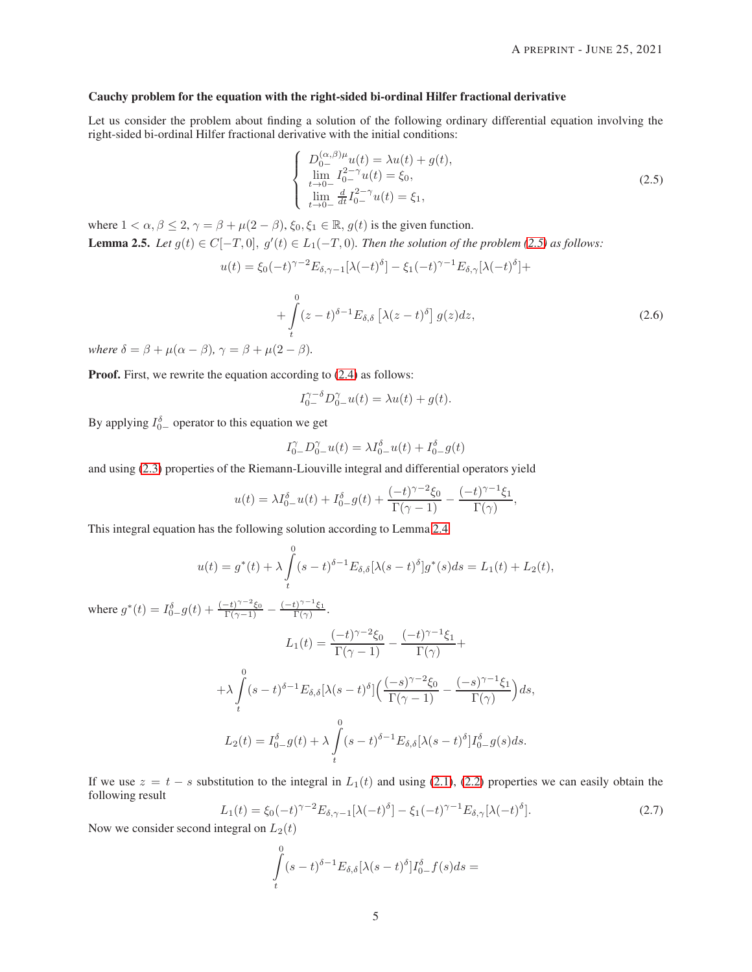#### Cauchy problem for the equation with the right-sided bi-ordinal Hilfer fractional derivative

Let us consider the problem about finding a solution of the following ordinary differential equation involving the right-sided bi-ordinal Hilfer fractional derivative with the initial conditions:

<span id="page-4-0"></span>
$$
\begin{cases}\nD_{0-}^{(\alpha,\beta)\mu}u(t) = \lambda u(t) + g(t), \\
\lim_{t \to 0-} I_{0-}^{2-\gamma}u(t) = \xi_0, \\
\lim_{t \to 0-} \frac{d}{dt}I_{0-}^{2-\gamma}u(t) = \xi_1,\n\end{cases}
$$
\n(2.5)

<span id="page-4-1"></span>where  $1 < \alpha, \beta \leq 2, \gamma = \beta + \mu(2 - \beta), \xi_0, \xi_1 \in \mathbb{R}, g(t)$  is the given function. **Lemma 2.5.** *Let*  $g(t) \in C[-T,0], g'(t) \in L_1(-T,0)$ *. Then the solution of the problem* [\(2.5\)](#page-4-0) *as follows:* 

$$
u(t) = \xi_0(-t)^{\gamma - 2} E_{\delta, \gamma - 1}[\lambda(-t)^{\delta}] - \xi_1(-t)^{\gamma - 1} E_{\delta, \gamma}[\lambda(-t)^{\delta}] +
$$
  

$$
+ \int_t^0 (z - t)^{\delta - 1} E_{\delta, \delta} [\lambda(z - t)^{\delta}] g(z) dz,
$$
 (2.6)

*where*  $\delta = \beta + \mu(\alpha - \beta)$ ,  $\gamma = \beta + \mu(2 - \beta)$ .

**Proof.** First, we rewrite the equation according to  $(2.4)$  as follows:

$$
I_{0-}^{\gamma-\delta}D_{0-}^{\gamma}u(t) = \lambda u(t) + g(t).
$$

By applying  $I_{0-}^{\delta}$  operator to this equation we get

$$
I_{0-}^{\gamma}D_{0-}^{\gamma}u(t)=\lambda I_{0-}^{\delta}u(t)+I_{0-}^{\delta}g(t)
$$

and using [\(2.3\)](#page-3-2) properties of the Riemann-Liouville integral and differential operators yield

$$
u(t) = \lambda I_{0-}^{\delta}u(t) + I_{0-}^{\delta}g(t) + \frac{(-t)^{\gamma-2}\xi_0}{\Gamma(\gamma-1)} - \frac{(-t)^{\gamma-1}\xi_1}{\Gamma(\gamma)},
$$

This integral equation has the following solution according to Lemma [2.4](#page-3-0)

$$
u(t) = g^*(t) + \lambda \int_t^0 (s-t)^{\delta-1} E_{\delta,\delta}[\lambda(s-t)^{\delta}] g^*(s) ds = L_1(t) + L_2(t),
$$

where  $g^*(t) = I_{0-}^{\delta}g(t) + \frac{(-t)^{\gamma-2}\xi_0}{\Gamma(\gamma-1)} - \frac{(-t)^{\gamma-1}\xi_1}{\Gamma(\gamma)}$  $\frac{t)^{\gamma-\epsilon} \xi_1}{\Gamma(\gamma)}$ .

$$
L_1(t) = \frac{(-t)^{\gamma - 2}\xi_0}{\Gamma(\gamma - 1)} - \frac{(-t)^{\gamma - 1}\xi_1}{\Gamma(\gamma)} +
$$
  
+ 
$$
\lambda \int_t^0 (s - t)^{\delta - 1} E_{\delta, \delta}[\lambda(s - t)^{\delta}] \Big( \frac{(-s)^{\gamma - 2}\xi_0}{\Gamma(\gamma - 1)} - \frac{(-s)^{\gamma - 1}\xi_1}{\Gamma(\gamma)} \Big) ds,
$$
  

$$
L_2(t) = I_{0-}^{\delta} g(t) + \lambda \int_t^0 (s - t)^{\delta - 1} E_{\delta, \delta}[\lambda(s - t)^{\delta}] I_{0-}^{\delta} g(s) ds.
$$

If we use  $z = t - s$  substitution to the integral in  $L_1(t)$  and using [\(2.1\)](#page-2-0), [\(2.2\)](#page-2-1) properties we can easily obtain the following result

<span id="page-4-2"></span>
$$
L_1(t) = \xi_0(-t)^{\gamma - 2} E_{\delta, \gamma - 1}[\lambda(-t)^{\delta}] - \xi_1(-t)^{\gamma - 1} E_{\delta, \gamma}[\lambda(-t)^{\delta}].
$$
\n(2.7)

Now we consider second integral on  $L_2(t)$ 

$$
\int\limits_t^0 (s-t)^{\delta-1} E_{\delta,\delta}[\lambda(s-t)^{\delta}]I_{0-}^{\delta}f(s)ds =
$$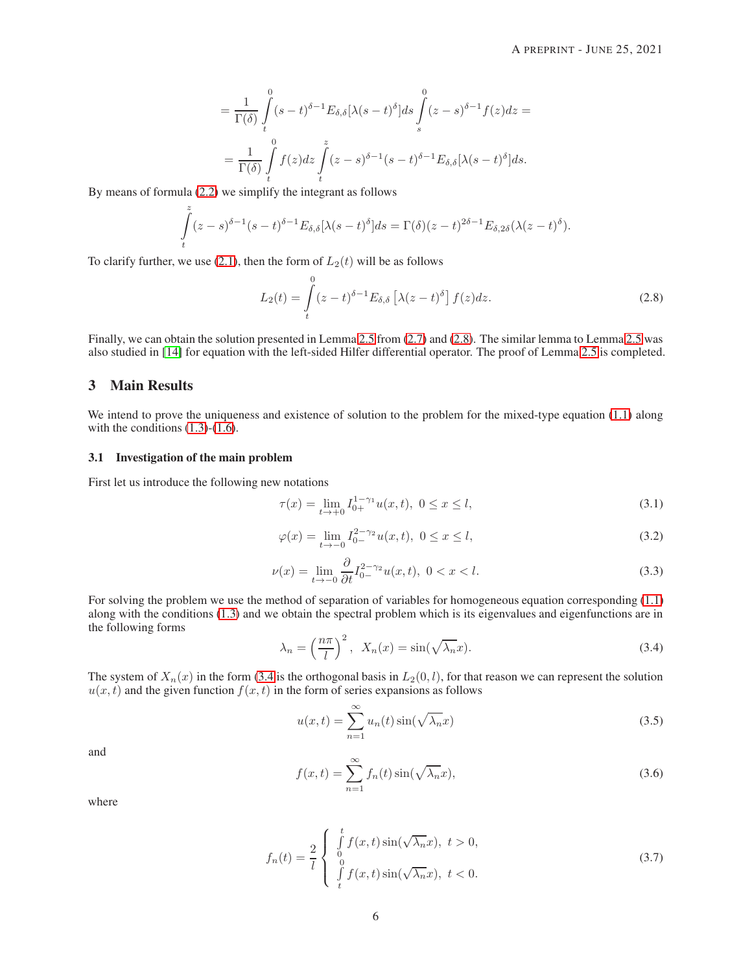$$
= \frac{1}{\Gamma(\delta)} \int_{t}^{0} (s-t)^{\delta-1} E_{\delta,\delta}[\lambda(s-t)^{\delta}] ds \int_{s}^{0} (z-s)^{\delta-1} f(z) dz =
$$
  

$$
= \frac{1}{\Gamma(\delta)} \int_{t}^{0} f(z) dz \int_{t}^{z} (z-s)^{\delta-1} (s-t)^{\delta-1} E_{\delta,\delta}[\lambda(s-t)^{\delta}] ds.
$$

By means of formula [\(2.2\)](#page-2-1) we simplify the integrant as follows

$$
\int_{t}^{z} (z-s)^{\delta-1}(s-t)^{\delta-1} E_{\delta,\delta}[\lambda(s-t)^{\delta}] ds = \Gamma(\delta)(z-t)^{2\delta-1} E_{\delta,2\delta}(\lambda(z-t)^{\delta}).
$$

To clarify further, we use [\(2.1\)](#page-2-0), then the form of  $L_2(t)$  will be as follows

<span id="page-5-0"></span>
$$
L_2(t) = \int\limits_t^0 (z - t)^{\delta - 1} E_{\delta, \delta} \left[ \lambda (z - t)^{\delta} \right] f(z) dz.
$$
 (2.8)

Finally, we can obtain the solution presented in Lemma [2.5](#page-4-1) from  $(2.7)$  and  $(2.8)$ . The similar lemma to Lemma 2.5 was also studied in [\[14\]](#page-12-2) for equation with the left-sided Hilfer differential operator. The proof of Lemma [2.5](#page-4-1) is completed.

# 3 Main Results

We intend to prove the uniqueness and existence of solution to the problem for the mixed-type equation [\(1.1\)](#page-1-0) along with the conditions  $(1.3)-(1.6)$  $(1.3)-(1.6)$  $(1.3)-(1.6)$ .

#### 3.1 Investigation of the main problem

<span id="page-5-5"></span>First let us introduce the following new notations

<span id="page-5-4"></span>
$$
\tau(x) = \lim_{t \to +0} I_{0+}^{1-\gamma_1} u(x, t), \ 0 \le x \le l,
$$
\n(3.1)

$$
\varphi(x) = \lim_{t \to -0} I_{0-}^{2-\gamma_2} u(x, t), \ 0 \le x \le l,
$$
\n(3.2)

$$
\nu(x) = \lim_{t \to -0} \frac{\partial}{\partial t} I_{0-}^{2-\gamma_2} u(x, t), \ 0 < x < l. \tag{3.3}
$$

<span id="page-5-6"></span>For solving the problem we use the method of separation of variables for homogeneous equation corresponding [\(1.1\)](#page-1-0) along with the conditions [\(1.3\)](#page-1-2) and we obtain the spectral problem which is its eigenvalues and eigenfunctions are in the following forms

<span id="page-5-1"></span>
$$
\lambda_n = \left(\frac{n\pi}{l}\right)^2, \ \ X_n(x) = \sin(\sqrt{\lambda_n}x). \tag{3.4}
$$

The system of  $X_n(x)$  in the form [\(3.4](#page-5-1) is the orthogonal basis in  $L_2(0, l)$ , for that reason we can represent the solution  $u(x, t)$  and the given function  $f(x, t)$  in the form of series expansions as follows

<span id="page-5-2"></span>
$$
u(x,t) = \sum_{n=1}^{\infty} u_n(t) \sin(\sqrt{\lambda_n} x)
$$
\n(3.5)

<span id="page-5-3"></span>and

$$
f(x,t) = \sum_{n=1}^{\infty} f_n(t) \sin(\sqrt{\lambda_n} x),
$$
\n(3.6)

<span id="page-5-7"></span>where

$$
f_n(t) = \frac{2}{l} \begin{cases} \int_0^t f(x,t) \sin(\sqrt{\lambda_n}x), \ t > 0, \\ 0 \\ \int_t^0 f(x,t) \sin(\sqrt{\lambda_n}x), \ t < 0. \end{cases}
$$
 (3.7)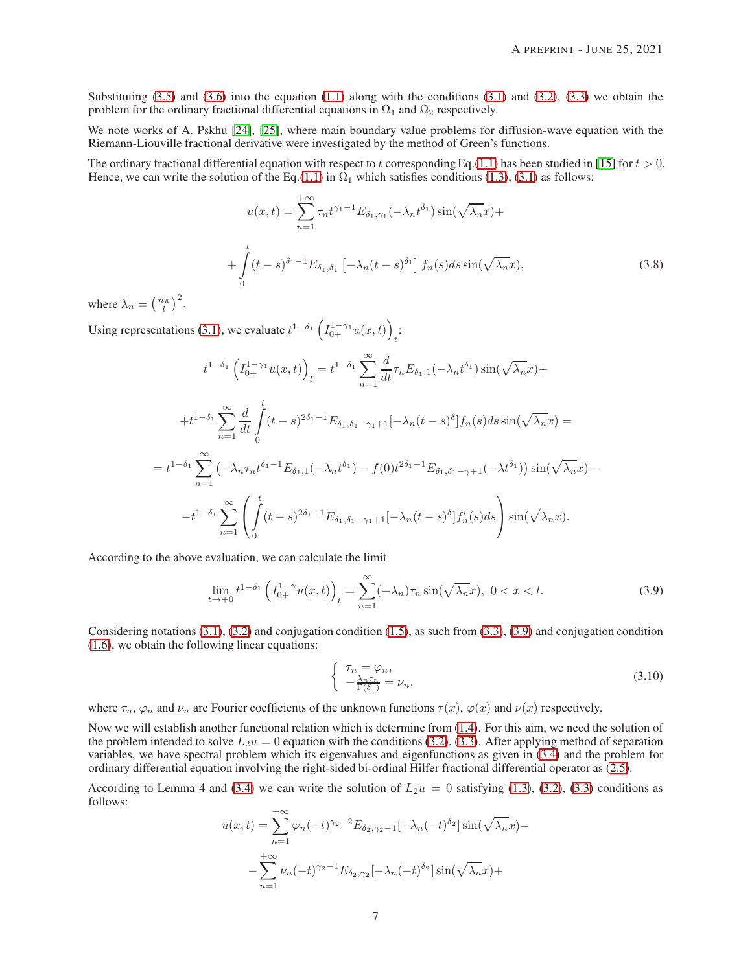Substituting  $(3.5)$  and  $(3.6)$  into the equation  $(1.1)$  along with the conditions  $(3.1)$  and  $(3.2)$ ,  $(3.3)$  we obtain the problem for the ordinary fractional differential equations in  $\Omega_1$  and  $\Omega_2$  respectively.

We note works of A. Pskhu [\[24\]](#page-12-12), [\[25\]](#page-12-13), where main boundary value problems for diffusion-wave equation with the Riemann-Liouville fractional derivative were investigated by the method of Green's functions.

The ordinary fractional differential equation with respect to t corresponding Eq.[\(1.1\)](#page-1-0) has been studied in [\[15\]](#page-12-3) for  $t > 0$ . Hence, we can write the solution of the Eq.[\(1.1\)](#page-1-0) in  $\Omega_1$  which satisfies conditions [\(1.3\)](#page-1-2), [\(3.1\)](#page-5-4) as follows:

$$
u(x,t) = \sum_{n=1}^{+\infty} \tau_n t^{\gamma_1 - 1} E_{\delta_1, \gamma_1}(-\lambda_n t^{\delta_1}) \sin(\sqrt{\lambda_n} x) +
$$

$$
+ \int_0^t (t-s)^{\delta_1 - 1} E_{\delta_1, \delta_1} \left[ -\lambda_n (t-s)^{\delta_1} \right] f_n(s) ds \sin(\sqrt{\lambda_n} x), \tag{3.8}
$$

where  $\lambda_n = \left(\frac{n\pi}{l}\right)^2$ .

Using representations [\(3.1\)](#page-5-7), we evaluate  $t^{1-\delta_1} \left(I_{0+}^{1-\gamma_1} u(x,t)\right)$ :<br>
:

$$
t^{1-\delta_1} \left( I_{0+}^{1-\gamma_1} u(x,t) \right)_t = t^{1-\delta_1} \sum_{n=1}^{\infty} \frac{d}{dt} \tau_n E_{\delta_1,1}(-\lambda_n t^{\delta_1}) \sin(\sqrt{\lambda_n} x) +
$$
  
+ 
$$
t^{1-\delta_1} \sum_{n=1}^{\infty} \frac{d}{dt} \int_0^t (t-s)^{2\delta_1 - 1} E_{\delta_1, \delta_1 - \gamma_1 + 1} [-\lambda_n (t-s)^{\delta}] f_n(s) ds \sin(\sqrt{\lambda_n} x) =
$$
  
= 
$$
t^{1-\delta_1} \sum_{n=1}^{\infty} \left( -\lambda_n \tau_n t^{\delta_1 - 1} E_{\delta_1,1}(-\lambda_n t^{\delta_1}) - f(0) t^{2\delta_1 - 1} E_{\delta_1, \delta_1 - \gamma + 1}(-\lambda t^{\delta_1}) \right) \sin(\sqrt{\lambda_n} x) -
$$
  
- 
$$
t^{1-\delta_1} \sum_{n=1}^{\infty} \left( \int_0^t (t-s)^{2\delta_1 - 1} E_{\delta_1, \delta_1 - \gamma_1 + 1} [-\lambda_n (t-s)^{\delta}] f'_n(s) ds \right) \sin(\sqrt{\lambda_n} x).
$$

According to the above evaluation, we can calculate the limit

$$
\lim_{t \to +0} t^{1-\delta_1} \left( I_{0+}^{1-\gamma} u(x,t) \right)_t = \sum_{n=1}^{\infty} (-\lambda_n) \tau_n \sin(\sqrt{\lambda_n} x), \ 0 < x < l. \tag{3.9}
$$

Considering notations  $(3.1)$ ,  $(3.2)$  and conjugation condition  $(1.5)$ , as such from  $(3.3)$ ,  $(3.9)$  and conjugation condition [\(1.6\)](#page-2-2), we obtain the following linear equations:

<span id="page-6-1"></span><span id="page-6-0"></span>
$$
\begin{cases}\n\tau_n = \varphi_n, \\
-\frac{\lambda_n \tau_n}{\Gamma(\delta_1)} = \nu_n,\n\end{cases} \n(3.10)
$$

where  $\tau_n$ ,  $\varphi_n$  and  $\nu_n$  are Fourier coefficients of the unknown functions  $\tau(x)$ ,  $\varphi(x)$  and  $\nu(x)$  respectively.

Now we will establish another functional relation which is determine from [\(1.4\)](#page-1-3). For this aim, we need the solution of the problem intended to solve  $L_2u = 0$  equation with the conditions [\(3.2\)](#page-5-5), [\(3.3\)](#page-5-6). After applying method of separation variables, we have spectral problem which its eigenvalues and eigenfunctions as given in [\(3.4\)](#page-5-1) and the problem for ordinary differential equation involving the right-sided bi-ordinal Hilfer fractional differential operator as [\(2.5\)](#page-4-0).

According to Lemma 4 and [\(3.4\)](#page-5-1) we can write the solution of  $L_2u = 0$  satisfying [\(1.3\)](#page-1-2), [\(3.2\)](#page-5-5), [\(3.3\)](#page-5-6) conditions as follows:

$$
u(x,t) = \sum_{n=1}^{+\infty} \varphi_n(-t)^{\gamma_2 - 2} E_{\delta_2, \gamma_2 - 1}[-\lambda_n(-t)^{\delta_2}] \sin(\sqrt{\lambda_n}x) -
$$

$$
-\sum_{n=1}^{+\infty} \nu_n(-t)^{\gamma_2 - 1} E_{\delta_2, \gamma_2}[-\lambda_n(-t)^{\delta_2}] \sin(\sqrt{\lambda_n}x) +
$$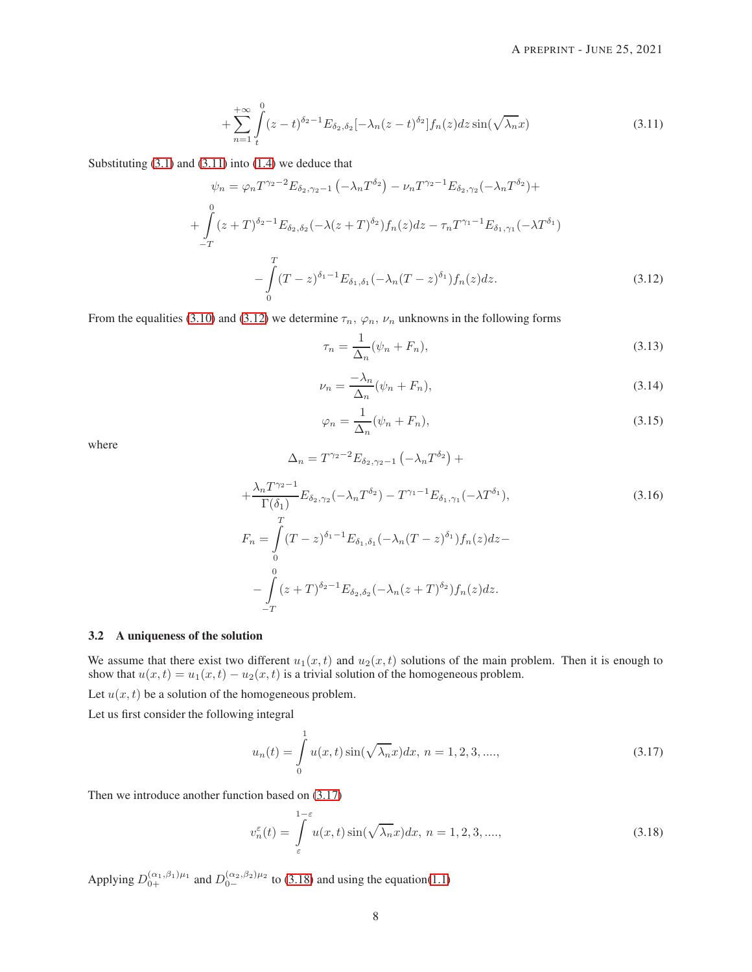$$
+\sum_{n=1}^{+\infty} \int_{t}^{0} (z-t)^{\delta_2-1} E_{\delta_2, \delta_2}[-\lambda_n(z-t)^{\delta_2}] f_n(z) dz \sin(\sqrt{\lambda_n}x)
$$
 (3.11)

<span id="page-7-0"></span>Substituting  $(3.1)$  and  $(3.11)$  into  $(1.4)$  we deduce that

$$
\psi_n = \varphi_n T^{\gamma_2 - 2} E_{\delta_2, \gamma_2 - 1} \left( -\lambda_n T^{\delta_2} \right) - \nu_n T^{\gamma_2 - 1} E_{\delta_2, \gamma_2} (-\lambda_n T^{\delta_2}) +
$$
  
+ 
$$
\int_{-T}^{0} (z + T)^{\delta_2 - 1} E_{\delta_2, \delta_2} (-\lambda (z + T)^{\delta_2}) f_n(z) dz - \tau_n T^{\gamma_1 - 1} E_{\delta_1, \gamma_1} (-\lambda T^{\delta_1})
$$
  
- 
$$
\int_{0}^{T} (T - z)^{\delta_1 - 1} E_{\delta_1, \delta_1} (-\lambda_n (T - z)^{\delta_1}) f_n(z) dz.
$$
 (3.12)

<span id="page-7-7"></span><span id="page-7-1"></span>From the equalities [\(3.10\)](#page-6-1) and [\(3.12\)](#page-7-1) we determine  $\tau_n$ ,  $\varphi_n$ ,  $\nu_n$  unknowns in the following forms

<span id="page-7-5"></span>
$$
\tau_n = \frac{1}{\Delta_n} (\psi_n + F_n), \tag{3.13}
$$

$$
\nu_n = \frac{-\lambda_n}{\Delta_n} (\psi_n + F_n),\tag{3.14}
$$

$$
\varphi_n = \frac{1}{\Delta_n} (\psi_n + F_n), \tag{3.15}
$$

<span id="page-7-6"></span><span id="page-7-4"></span>where

$$
+\frac{\lambda_n T^{\gamma_2 - 1}}{\Gamma(\delta_1)} E_{\delta_2, \gamma_2}(-\lambda_n T^{\delta_2}) - T^{\gamma_1 - 1} E_{\delta_1, \gamma_1}(-\lambda T^{\delta_1}),
$$
  
\n
$$
F_n = \int_0^T (T - z)^{\delta_1 - 1} E_{\delta_1, \delta_1}(-\lambda_n (T - z)^{\delta_1}) f_n(z) dz -
$$
  
\n
$$
-\int_0^0 (z + T)^{\delta_2 - 1} E_{\delta_2, \delta_2}(-\lambda_n (z + T)^{\delta_2}) f_n(z) dz -
$$
  
\n
$$
-T
$$

#### 3.2 A uniqueness of the solution

We assume that there exist two different  $u_1(x, t)$  and  $u_2(x, t)$  solutions of the main problem. Then it is enough to show that  $u(x, t) = u_1(x, t) - u_2(x, t)$  is a trivial solution of the homogeneous problem.

 $\Delta_n = T^{\gamma_2 - 2} E_{\delta_2, \gamma_2 - 1} \left( -\lambda_n T^{\delta_2} \right) +$ 

Let  $u(x, t)$  be a solution of the homogeneous problem.

Let us first consider the following integral

<span id="page-7-2"></span>
$$
u_n(t) = \int_0^1 u(x,t) \sin(\sqrt{\lambda_n}x) dx, \ n = 1, 2, 3, \dots,
$$
\n(3.17)

Then we introduce another function based on [\(3.17\)](#page-7-2)

<span id="page-7-3"></span>
$$
v_n^{\varepsilon}(t) = \int_{\varepsilon}^{1-\varepsilon} u(x,t) \sin(\sqrt{\lambda_n}x) dx, \ n = 1, 2, 3, \dots,
$$
\n(3.18)

Applying  $D_{0+}^{(\alpha_1,\beta_1)\mu_1}$  and  $D_{0-}^{(\alpha_2,\beta_2)\mu_2}$  to [\(3.18\)](#page-7-3) and using the equation[\(1.1\)](#page-1-0)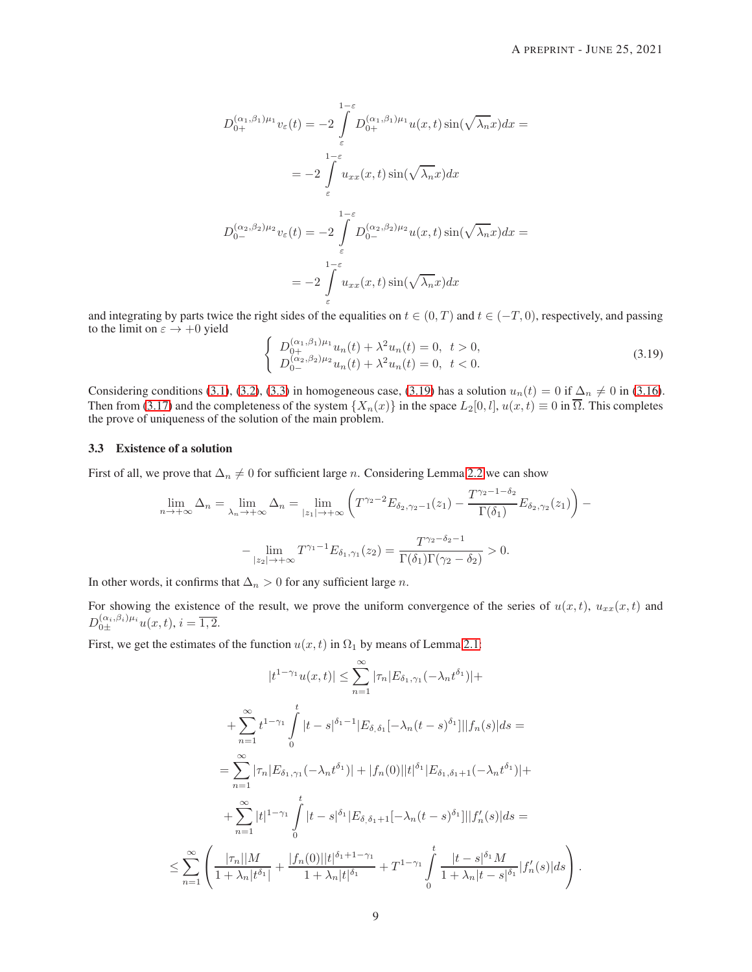$$
D_{0+}^{(\alpha_1,\beta_1)\mu_1}v_{\varepsilon}(t) = -2\int_{\varepsilon}^{1-\varepsilon} D_{0+}^{(\alpha_1,\beta_1)\mu_1}u(x,t)\sin(\sqrt{\lambda_n}x)dx =
$$
  

$$
= -2\int_{\varepsilon}^{1-\varepsilon} u_{xx}(x,t)\sin(\sqrt{\lambda_n}x)dx
$$
  

$$
D_{0-}^{(\alpha_2,\beta_2)\mu_2}v_{\varepsilon}(t) = -2\int_{\varepsilon}^{1-\varepsilon} D_{0-}^{(\alpha_2,\beta_2)\mu_2}u(x,t)\sin(\sqrt{\lambda_n}x)dx =
$$
  

$$
= -2\int_{\varepsilon}^{1-\varepsilon} u_{xx}(x,t)\sin(\sqrt{\lambda_n}x)dx
$$

and integrating by parts twice the right sides of the equalities on  $t \in (0, T)$  and  $t \in (-T, 0)$ , respectively, and passing to the limit on  $\varepsilon \to +0$  yield

<span id="page-8-0"></span>
$$
\begin{cases}\nD_{0+}^{(\alpha_1,\beta_1)\mu_1}u_n(t) + \lambda^2 u_n(t) = 0, \ t > 0, \\
D_{0-}^{(\alpha_2,\beta_2)\mu_2}u_n(t) + \lambda^2 u_n(t) = 0, \ t < 0.\n\end{cases}
$$
\n(3.19)

Considering conditions [\(3.1\)](#page-5-4), [\(3.2\)](#page-5-5), [\(3.3\)](#page-5-6) in homogeneous case, [\(3.19\)](#page-8-0) has a solution  $u_n(t) = 0$  if  $\Delta_n \neq 0$  in [\(3.16\)](#page-7-4). Then from [\(3.17\)](#page-7-2) and the completeness of the system  $\{X_n(x)\}\$ in the space  $L_2[0, l]$ ,  $u(x, t) \equiv 0$  in  $\overline{\Omega}$ . This completes the prove of uniqueness of the solution of the main problem.

## 3.3 Existence of a solution

First of all, we prove that  $\Delta_n \neq 0$  for sufficient large n. Considering Lemma [2.2](#page-2-4) we can show

$$
\lim_{n \to +\infty} \Delta_n = \lim_{\lambda_n \to +\infty} \Delta_n = \lim_{|z_1| \to +\infty} \left( T^{\gamma_2 - 2} E_{\delta_2, \gamma_2 - 1}(z_1) - \frac{T^{\gamma_2 - 1 - \delta_2}}{\Gamma(\delta_1)} E_{\delta_2, \gamma_2}(z_1) \right) - \lim_{|z_2| \to +\infty} T^{\gamma_1 - 1} E_{\delta_1, \gamma_1}(z_2) = \frac{T^{\gamma_2 - \delta_2 - 1}}{\Gamma(\delta_1)\Gamma(\gamma_2 - \delta_2)} > 0.
$$

In other words, it confirms that  $\Delta_n > 0$  for any sufficient large n.

For showing the existence of the result, we prove the uniform convergence of the series of  $u(x, t)$ ,  $u_{xx}(x, t)$  and  $D_{0\pm}^{(\alpha_i,\beta_i)\mu_i}u(x,t), i=\overline{1,2}.$ 

First, we get the estimates of the function  $u(x, t)$  in  $\Omega_1$  by means of Lemma [2.1:](#page-2-5)

$$
|t^{1-\gamma_1}u(x,t)| \leq \sum_{n=1}^{\infty} |\tau_n| E_{\delta_1,\gamma_1}(-\lambda_n t^{\delta_1})| +
$$
  
+ 
$$
\sum_{n=1}^{\infty} t^{1-\gamma_1} \int_{0}^{t} |t-s|^{\delta_1-1} |E_{\delta_1\delta_1}[-\lambda_n(t-s)^{\delta_1}]||f_n(s)| ds =
$$
  
= 
$$
\sum_{n=1}^{\infty} |\tau_n| E_{\delta_1,\gamma_1}(-\lambda_n t^{\delta_1})| + |f_n(0)||t|^{\delta_1} |E_{\delta_1,\delta_1+1}(-\lambda_n t^{\delta_1})| +
$$
  
+ 
$$
\sum_{n=1}^{\infty} |t|^{1-\gamma_1} \int_{0}^{t} |t-s|^{\delta_1} |E_{\delta_1\delta_1+1}[-\lambda_n(t-s)^{\delta_1}]||f'_n(s)| ds =
$$
  

$$
\leq \sum_{n=1}^{\infty} \left( \frac{|\tau_n||M|}{1+\lambda_n|t^{\delta_1}} + \frac{|f_n(0)||t|^{\delta_1+1-\gamma_1}}{1+\lambda_n|t|^{\delta_1}} + T^{1-\gamma_1} \int_{0}^{t} \frac{|t-s|^{\delta_1}M|}{1+\lambda_n|t-s|^{\delta_1}} |f'_n(s)| ds \right).
$$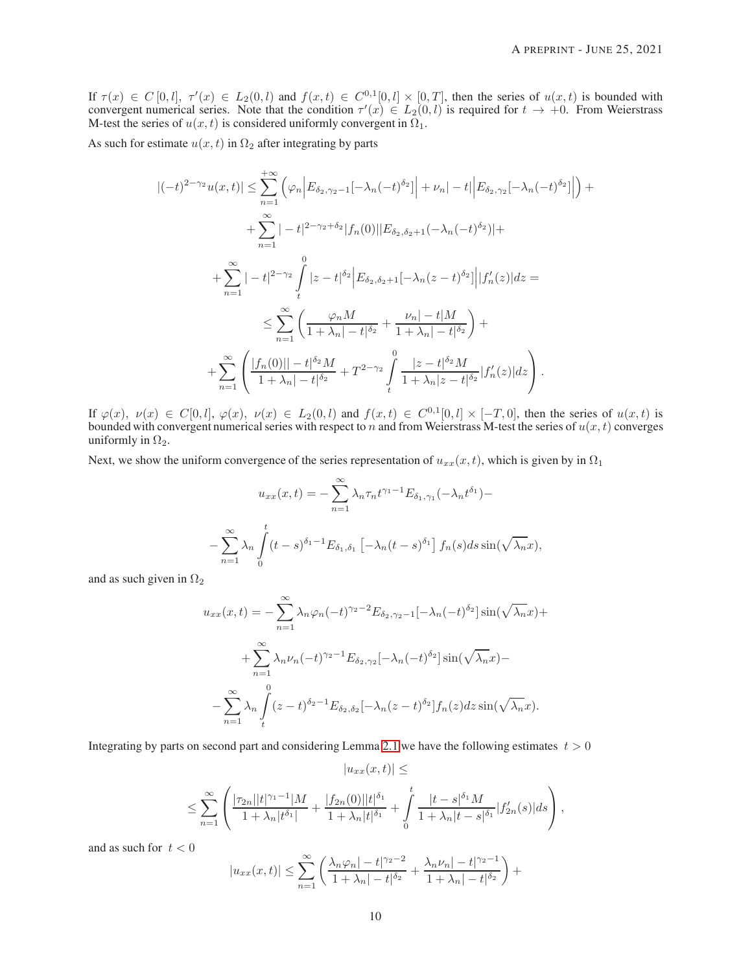If  $\tau(x) \in C[0, l]$ ,  $\tau'(x) \in L_2(0, l)$  and  $f(x, t) \in C^{0,1}[0, l] \times [0, T]$ , then the series of  $u(x, t)$  is bounded with convergent numerical series. Note that the condition  $\tau'(x) \in L_2(0, l)$  is required for  $t \to +0$ . From Weierstr M-test the series of  $u(x, t)$  is considered uniformly convergent in  $\Omega_1$ .

As such for estimate  $u(x, t)$  in  $\Omega_2$  after integrating by parts

$$
|(-t)^{2-\gamma_2}u(x,t)| \leq \sum_{n=1}^{+\infty} \left(\varphi_n \left| E_{\delta_2,\gamma_2-1}[-\lambda_n(-t)^{\delta_2}] \right| + \nu_n|-t| \left| E_{\delta_2,\gamma_2}[-\lambda_n(-t)^{\delta_2}] \right| \right) +
$$
  
+ 
$$
\sum_{n=1}^{\infty} |-t|^{2-\gamma_2+\delta_2} |f_n(0)||E_{\delta_2,\delta_2+1}(-\lambda_n(-t)^{\delta_2})| +
$$
  
+ 
$$
\sum_{n=1}^{\infty} |-t|^{2-\gamma_2} \int_{t}^{0} |z-t|^{\delta_2} \left| E_{\delta_2,\delta_2+1}[-\lambda_n(z-t)^{\delta_2}] \right| |f'_n(z)| dz =
$$
  

$$
\leq \sum_{n=1}^{\infty} \left( \frac{\varphi_n M}{1 + \lambda_n |-t|^{\delta_2}} + \frac{\nu_n|-t|M}{1 + \lambda_n|-t|^{\delta_2}} \right) +
$$
  
+ 
$$
\sum_{n=1}^{\infty} \left( \frac{|f_n(0)|| - t|^{\delta_2} M}{1 + \lambda_n |-t|^{\delta_2}} + T^{2-\gamma_2} \int_{t}^{0} \frac{|z-t|^{\delta_2} M}{1 + \lambda_n |z-t|^{\delta_2}} |f'_n(z)| dz \right).
$$

If  $\varphi(x)$ ,  $\nu(x) \in C[0, l]$ ,  $\varphi(x)$ ,  $\nu(x) \in L_2(0, l)$  and  $f(x, t) \in C^{0,1}[0, l] \times [-T, 0]$ , then the series of  $u(x, t)$  is bounded with convergent numerical series with respect to *n* and from Weierstrass M-test the series of uniformly in  $\Omega_2$ .

Next, we show the uniform convergence of the series representation of  $u_{xx}(x, t)$ , which is given by in  $\Omega_1$ 

$$
u_{xx}(x,t) = -\sum_{n=1}^{\infty} \lambda_n \tau_n t^{\gamma_1 - 1} E_{\delta_1, \gamma_1}(-\lambda_n t^{\delta_1}) -
$$

$$
-\sum_{n=1}^{\infty} \lambda_n \int_0^t (t-s)^{\delta_1 - 1} E_{\delta_1, \delta_1} \left[ -\lambda_n (t-s)^{\delta_1} \right] f_n(s) ds \sin(\sqrt{\lambda_n} x),
$$

and as such given in  $\Omega_2$ 

$$
u_{xx}(x,t) = -\sum_{n=1}^{\infty} \lambda_n \varphi_n(-t)^{\gamma_2 - 2} E_{\delta_2, \gamma_2 - 1}[-\lambda_n(-t)^{\delta_2}] \sin(\sqrt{\lambda_n}x) +
$$
  
+ 
$$
\sum_{n=1}^{\infty} \lambda_n \nu_n(-t)^{\gamma_2 - 1} E_{\delta_2, \gamma_2}[-\lambda_n(-t)^{\delta_2}] \sin(\sqrt{\lambda_n}x) -
$$
  
- 
$$
\sum_{n=1}^{\infty} \lambda_n \int_{t}^{0} (z - t)^{\delta_2 - 1} E_{\delta_2, \delta_2}[-\lambda_n(z - t)^{\delta_2}] f_n(z) dz \sin(\sqrt{\lambda_n}x).
$$

Integrating by parts on second part and considering Lemma [2.1](#page-2-5) we have the following estimates  $t > 0$ 

$$
|u_{xx}(x,t)| \le
$$
  

$$
\le \sum_{n=1}^{\infty} \left( \frac{|\tau_{2n}||t|^{\gamma_1 - 1}|M}{1 + \lambda_n|t^{\delta_1}|} + \frac{|f_{2n}(0)||t|^{\delta_1}}{1 + \lambda_n|t|^{\delta_1}} + \int_{0}^{t} \frac{|t - s|^{\delta_1}M}{1 + \lambda_n|t - s|^{\delta_1}} |f'_{2n}(s)| ds \right),
$$

and as such for  $t < 0$ 

$$
|u_{xx}(x,t)| \leq \sum_{n=1}^{\infty} \left( \frac{\lambda_n \varphi_n | - t|^{\gamma_2 - 2}}{1 + \lambda_n | - t|^{\delta_2}} + \frac{\lambda_n \nu_n | - t|^{\gamma_2 - 1}}{1 + \lambda_n | - t|^{\delta_2}} \right) +
$$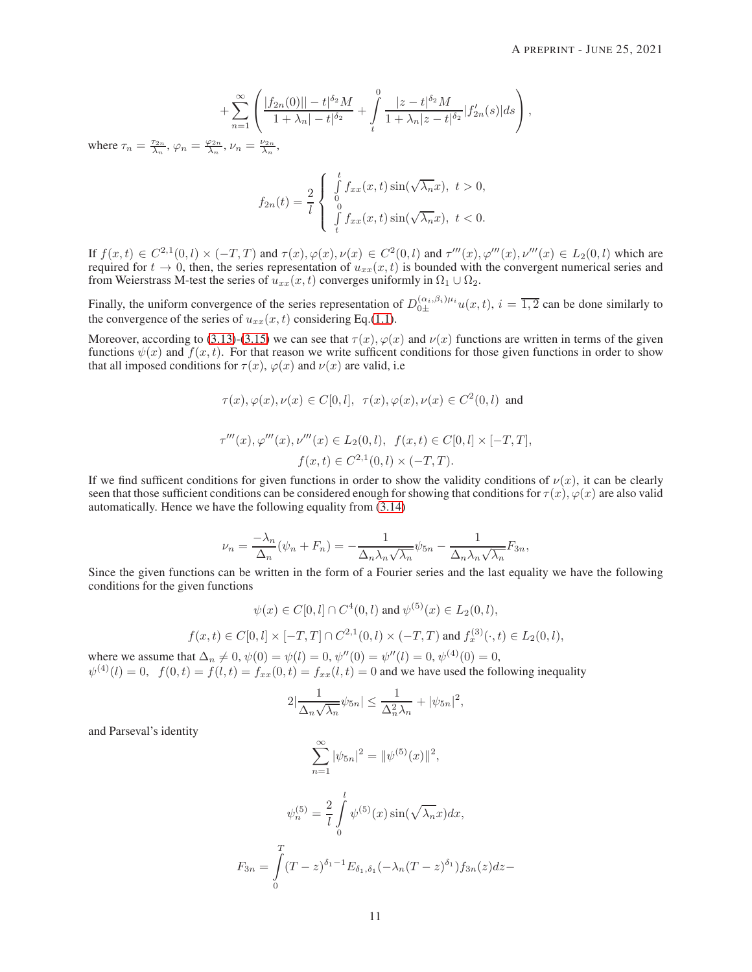$$
+\sum_{n=1}^{\infty}\left(\frac{|f_{2n}(0)||-t|^{\delta_2}M}{1+\lambda_n|-t|^{\delta_2}}+\int\limits_{t}^{0}\frac{|z-t|^{\delta_2}M}{1+\lambda_n|z-t|^{\delta_2}}|f'_{2n}(s)|ds\right),
$$

where  $\tau_n = \frac{\tau_{2n}}{\lambda_n}, \varphi_n = \frac{\varphi_{2n}}{\lambda_n}, \nu_n = \frac{\nu_{2n}}{\lambda_n},$ 

$$
f_{2n}(t) = \frac{2}{l} \begin{cases} \int\limits_0^t f_{xx}(x,t) \sin(\sqrt{\lambda_n}x), \ t > 0, \\ 0 \\ \int\limits_t^0 f_{xx}(x,t) \sin(\sqrt{\lambda_n}x), \ t < 0. \end{cases}
$$

If  $f(x,t) \in C^{2,1}(0,l) \times (-T,T)$  and  $\tau(x), \varphi(x), \nu(x) \in C^2(0,l)$  and  $\tau'''(x), \varphi'''(x), \nu'''(x) \in L_2(0,l)$  which are required for  $t \to 0$ , then, the series representation of  $u_{xx}(x, t)$  is bounded with the convergent numerical series and from Weierstrass M-test the series of  $u_{xx}(x, t)$  converges uniformly in  $\Omega_1 \cup \Omega_2$ .

Finally, the uniform convergence of the series representation of  $D_{0\pm}^{(\alpha_i,\beta_i)\mu_i}u(x,t)$ ,  $i=\overline{1,2}$  can be done similarly to the convergence of the series of  $u_{xx}(x, t)$  considering Eq.[\(1.1\)](#page-1-0).

Moreover, according to [\(3.13\)](#page-7-5)-[\(3.15\)](#page-7-6) we can see that  $\tau(x)$ ,  $\varphi(x)$  and  $\nu(x)$  functions are written in terms of the given functions  $\psi(x)$  and  $f(x, t)$ . For that reason we write sufficent conditions for those given functions in order to show that all imposed conditions for  $\tau(x)$ ,  $\varphi(x)$  and  $\nu(x)$  are valid, i.e

$$
\tau(x), \varphi(x), \nu(x) \in C[0, l], \ \tau(x), \varphi(x), \nu(x) \in C^2(0, l) \text{ and}
$$
  

$$
\tau'''(x), \varphi'''(x), \nu'''(x) \in L_2(0, l), \ f(x, t) \in C[0, l] \times [-T, T],
$$
  

$$
f(x, t) \in C^{2,1}(0, l) \times (-T, T).
$$

If we find sufficent conditions for given functions in order to show the validity conditions of  $\nu(x)$ , it can be clearly seen that those sufficient conditions can be considered enough for showing that conditions for  $\tau(x)$ ,  $\varphi(x)$  are also valid automatically. Hence we have the following equality from [\(3.14\)](#page-7-7)

$$
\nu_n = \frac{-\lambda_n}{\Delta_n}(\psi_n + F_n) = -\frac{1}{\Delta_n \lambda_n \sqrt{\lambda_n}} \psi_{5n} - \frac{1}{\Delta_n \lambda_n \sqrt{\lambda_n}} F_{3n},
$$

Since the given functions can be written in the form of a Fourier series and the last equality we have the following conditions for the given functions

$$
\psi(x) \in C[0, l] \cap C^4(0, l) \text{ and } \psi^{(5)}(x) \in L_2(0, l),
$$
  

$$
f(x, t) \in C[0, l] \times [-T, T] \cap C^{2,1}(0, l) \times (-T, T) \text{ and } f_x^{(3)}(\cdot, t) \in L_2(0, l),
$$

where we assume that  $\Delta_n \neq 0$ ,  $\psi(0) = \psi(l) = 0$ ,  $\psi''(0) = \psi''(l) = 0$ ,  $\psi^{(4)}(0) = 0$ ,  $\psi^{(4)}(l) = 0$ ,  $f(0,t) = f(l,t) = f_{xx}(0,t) = f_{xx}(l,t) = 0$  and we have used the following inequality

$$
2|\frac{1}{\Delta_n\sqrt{\lambda_n}}\psi_{5n}| \leq \frac{1}{\Delta_n^2\lambda_n} + |\psi_{5n}|^2,
$$

and Parseval's identity

$$
\sum_{n=1}^{\infty} |\psi_{5n}|^2 = ||\psi^{(5)}(x)||^2,
$$
  

$$
\psi_n^{(5)} = \frac{2}{l} \int_0^l \psi^{(5)}(x) \sin(\sqrt{\lambda_n}x) dx,
$$
  

$$
F_{3n} = \int_0^T (T - z)^{\delta_1 - 1} E_{\delta_1, \delta_1} (-\lambda_n (T - z)^{\delta_1}) f_{3n}(z) dz -
$$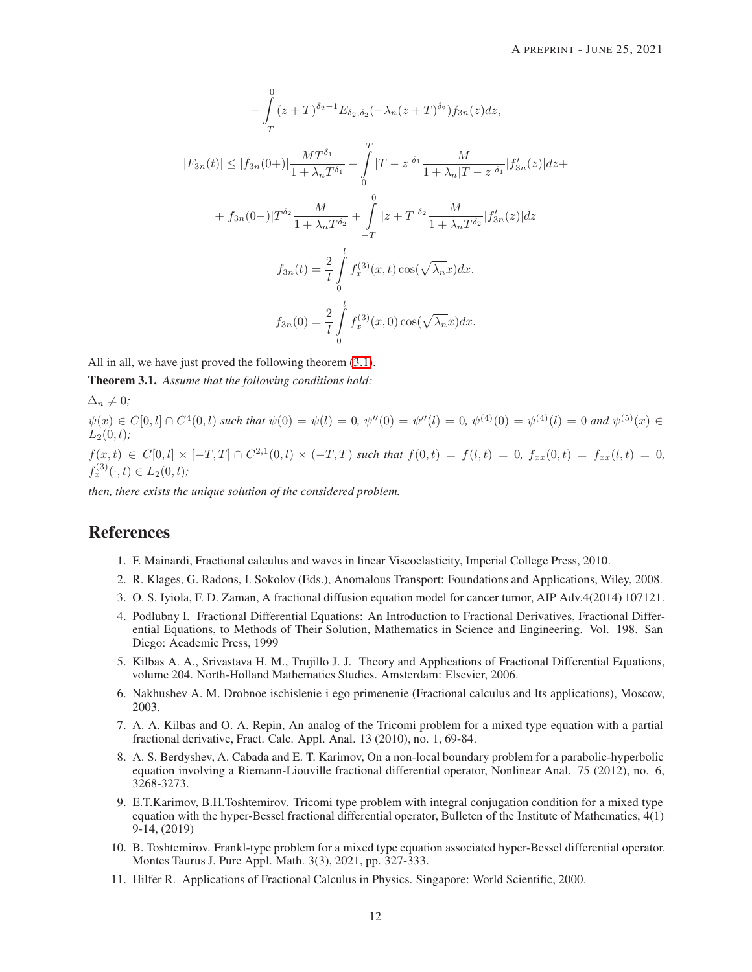$$
-\int_{-T}^{0} (z+T)^{\delta_2-1} E_{\delta_2, \delta_2}(-\lambda_n (z+T)^{\delta_2}) f_{3n}(z) dz,
$$
  
\n
$$
|F_{3n}(t)| \leq |f_{3n}(0+)|\frac{MT^{\delta_1}}{1+\lambda_n T^{\delta_1}} + \int_{0}^{T} |T-z|^{\delta_1} \frac{M}{1+\lambda_n |T-z|^{\delta_1}} |f'_{3n}(z)| dz +
$$
  
\n
$$
+ |f_{3n}(0-)|T^{\delta_2} \frac{M}{1+\lambda_n T^{\delta_2}} + \int_{-T}^{0} |z+T|^{\delta_2} \frac{M}{1+\lambda_n T^{\delta_2}} |f'_{3n}(z)| dz
$$
  
\n
$$
f_{3n}(t) = \frac{2}{l} \int_{0}^{l} f_x^{(3)}(x,t) \cos(\sqrt{\lambda_n}x) dx.
$$
  
\n
$$
f_{3n}(0) = \frac{2}{l} \int_{0}^{l} f_x^{(3)}(x,0) \cos(\sqrt{\lambda_n}x) dx.
$$

All in all, we have just proved the following theorem [\(3.1\)](#page-11-10).

<span id="page-11-10"></span>Theorem 3.1. *Assume that the following conditions hold:*

 $\Delta_n \neq 0;$ 

 $\psi(x) \in C[0, l] \cap C^4(0, l)$  such that  $\psi(0) = \psi(l) = 0$ ,  $\psi''(0) = \psi''(l) = 0$ ,  $\psi^{(4)}(0) = \psi^{(4)}(l) = 0$  and  $\psi^{(5)}(x) \in C[0, l]$  $L_2(0, l)$ *:* 

 $f(x,t) \in C[0,l] \times [-T,T] \cap C^{2,1}(0,l) \times (-T,T)$  such that  $f(0,t) = f(l,t) = 0$ ,  $f_{xx}(0,t) = f_{xx}(l,t) = 0$ ,  $f_x^{(3)}(\cdot, t) \in L_2(0, l);$ 

*then, there exists the unique solution of the considered problem.*

# <span id="page-11-0"></span>References

- <span id="page-11-1"></span>1. F. Mainardi, Fractional calculus and waves in linear Viscoelasticity, Imperial College Press, 2010.
- <span id="page-11-2"></span>2. R. Klages, G. Radons, I. Sokolov (Eds.), Anomalous Transport: Foundations and Applications, Wiley, 2008.
- <span id="page-11-3"></span>3. O. S. Iyiola, F. D. Zaman, A fractional diffusion equation model for cancer tumor, AIP Adv.4(2014) 107121.
- 4. Podlubny I. Fractional Differential Equations: An Introduction to Fractional Derivatives, Fractional Differential Equations, to Methods of Their Solution, Mathematics in Science and Engineering. Vol. 198. San Diego: Academic Press, 1999
- <span id="page-11-4"></span>5. Kilbas A. A., Srivastava H. M., Trujillo J. J. Theory and Applications of Fractional Differential Equations, volume 204. North-Holland Mathematics Studies. Amsterdam: Elsevier, 2006.
- <span id="page-11-5"></span>6. Nakhushev A. M. Drobnoe ischislenie i ego primenenie (Fractional calculus and Its applications), Moscow, 2003.
- 7. A. A. Kilbas and O. A. Repin, An analog of the Tricomi problem for a mixed type equation with a partial fractional derivative, Fract. Calc. Appl. Anal. 13 (2010), no. 1, 69-84.
- <span id="page-11-6"></span>8. A. S. Berdyshev, A. Cabada and E. T. Karimov, On a non-local boundary problem for a parabolic-hyperbolic equation involving a Riemann-Liouville fractional differential operator, Nonlinear Anal. 75 (2012), no. 6, 3268-3273.
- <span id="page-11-7"></span>9. E.T.Karimov, B.H.Toshtemirov. Tricomi type problem with integral conjugation condition for a mixed type equation with the hyper-Bessel fractional differential operator, Bulleten of the Institute of Mathematics, 4(1) 9-14, (2019)
- <span id="page-11-8"></span>10. B. Toshtemirov. Frankl-type problem for a mixed type equation associated hyper-Bessel differential operator. Montes Taurus J. Pure Appl. Math. 3(3), 2021, pp. 327-333.
- <span id="page-11-9"></span>11. Hilfer R. Applications of Fractional Calculus in Physics. Singapore: World Scientific, 2000.